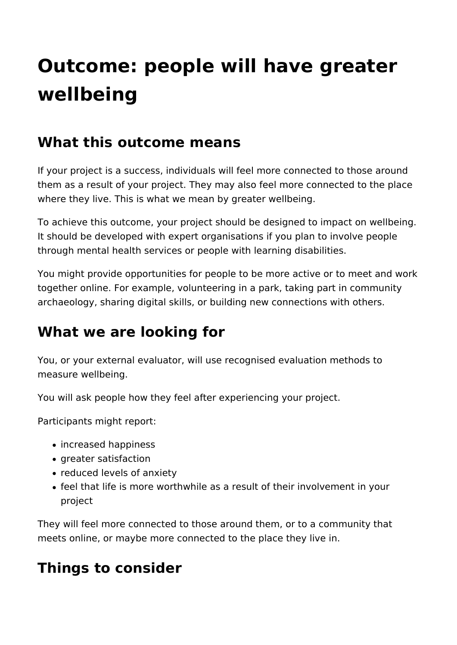# **Outcome: people will have greater wellbeing**

### **What this outcome means**

If your project is a success, individuals will feel more connected to those around them as a result of your project. They may also feel more connected to the place where they live. This is what we mean by greater wellbeing.

To achieve this outcome, your project should be designed to impact on wellbeing. It should be developed with expert organisations if you plan to involve people through mental health services or people with learning disabilities.

You might provide opportunities for people to be more active or to meet and work together online. For example, volunteering in a park, taking part in community archaeology, sharing digital skills, or building new connections with others.

# **What we are looking for**

You, or your external evaluator, will use recognised evaluation methods to measure wellbeing.

You will ask people how they feel after experiencing your project.

Participants might report:

- increased happiness
- greater satisfaction
- reduced levels of anxiety
- feel that life is more worthwhile as a result of their involvement in your project

They will feel more connected to those around them, or to a community that meets online, or maybe more connected to the place they live in.

## **Things to consider**